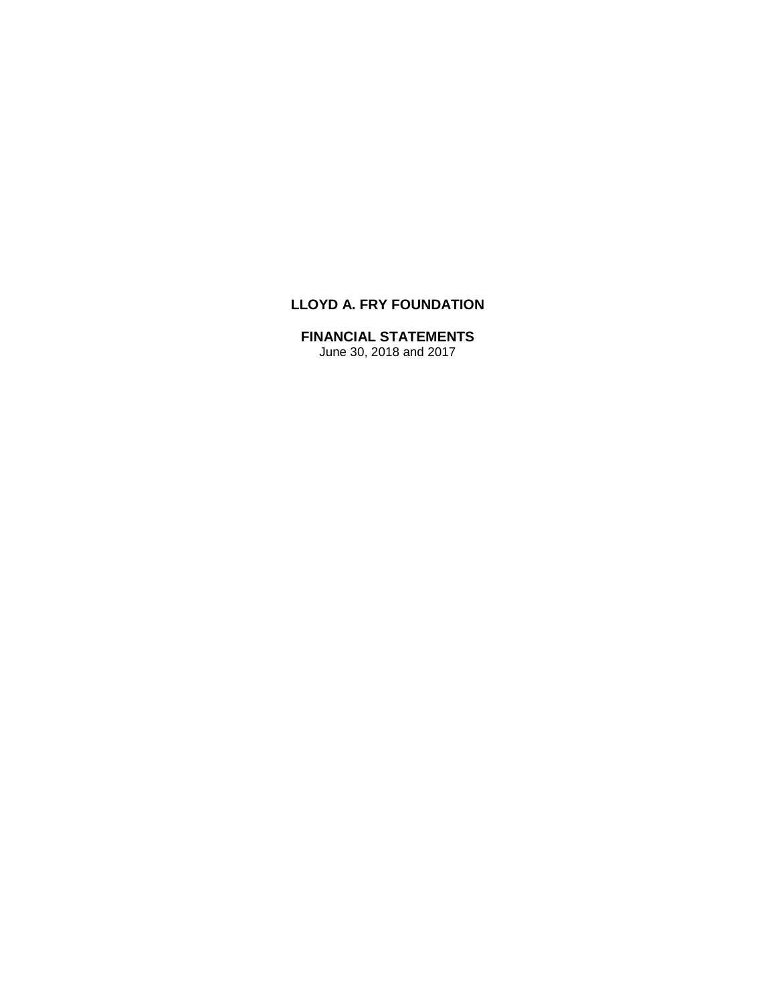# **LLOYD A. FRY FOUNDATION**

# **FINANCIAL STATEMENTS**

June 30, 2018 and 2017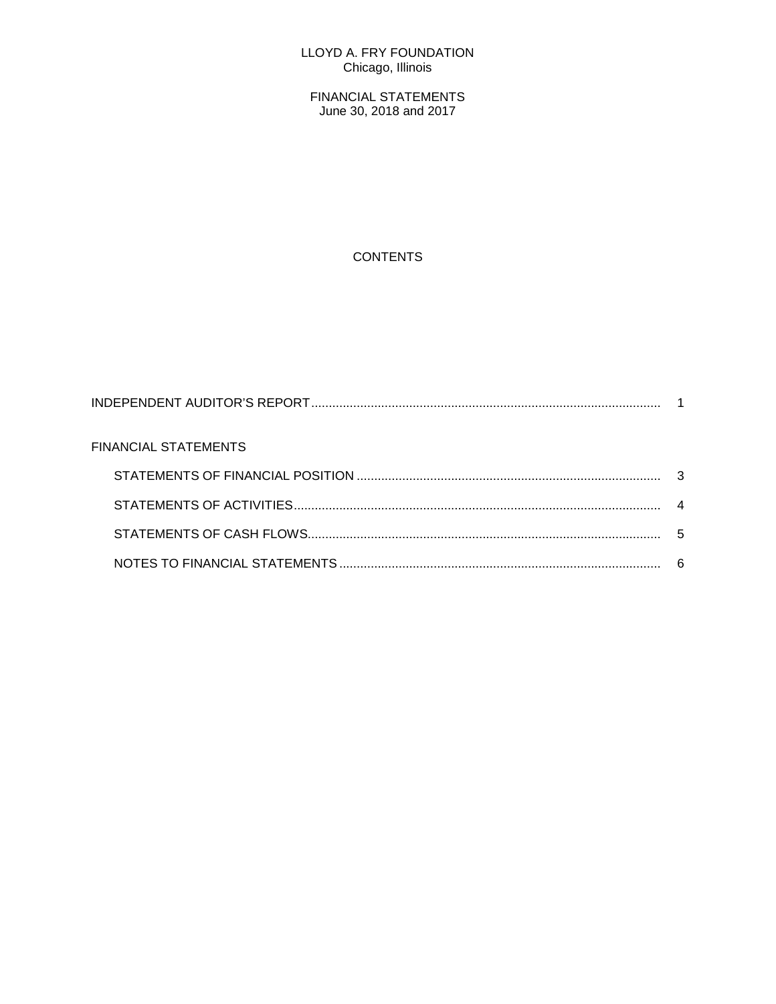# LLOYD A. FRY FOUNDATION Chicago, Illinois

FINANCIAL STATEMENTS June 30, 2018 and 2017

# **CONTENTS**

| FINANCIAL STATEMENTS |     |
|----------------------|-----|
|                      |     |
|                      |     |
|                      | - 5 |
|                      |     |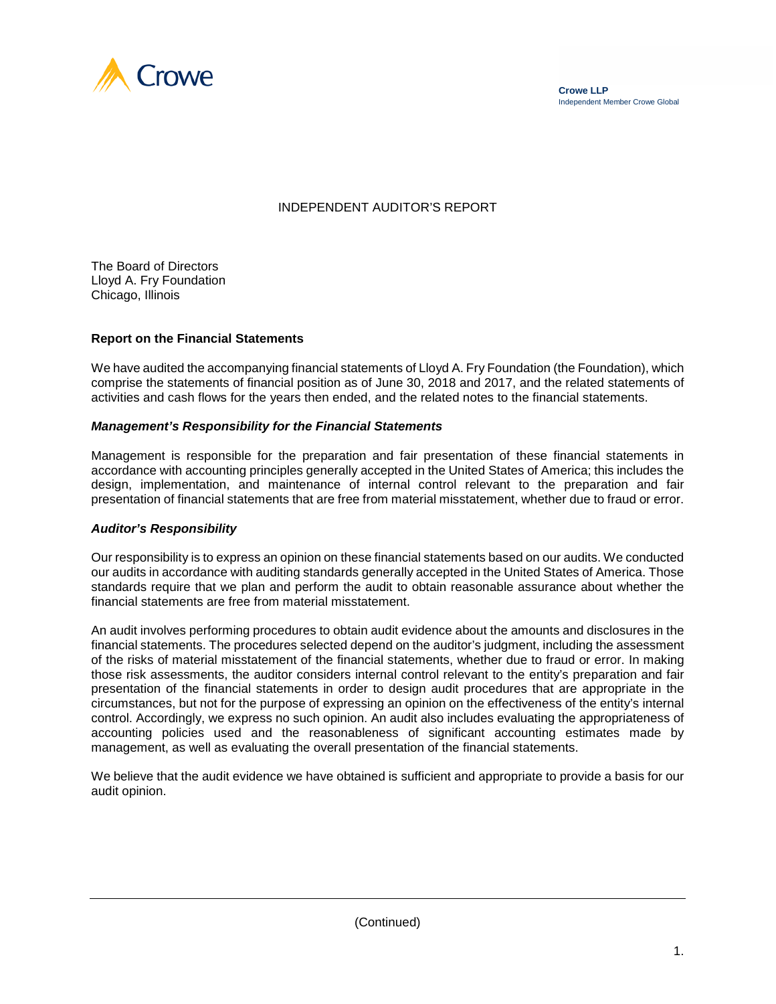

**Crowe LLP** Independent Member Crowe Global

# INDEPENDENT AUDITOR'S REPORT

The Board of Directors Lloyd A. Fry Foundation Chicago, Illinois

#### **Report on the Financial Statements**

We have audited the accompanying financial statements of Lloyd A. Fry Foundation (the Foundation), which comprise the statements of financial position as of June 30, 2018 and 2017, and the related statements of activities and cash flows for the years then ended, and the related notes to the financial statements.

#### *Management's Responsibility for the Financial Statements*

Management is responsible for the preparation and fair presentation of these financial statements in accordance with accounting principles generally accepted in the United States of America; this includes the design, implementation, and maintenance of internal control relevant to the preparation and fair presentation of financial statements that are free from material misstatement, whether due to fraud or error.

#### *Auditor's Responsibility*

Our responsibility is to express an opinion on these financial statements based on our audits. We conducted our audits in accordance with auditing standards generally accepted in the United States of America. Those standards require that we plan and perform the audit to obtain reasonable assurance about whether the financial statements are free from material misstatement.

An audit involves performing procedures to obtain audit evidence about the amounts and disclosures in the financial statements. The procedures selected depend on the auditor's judgment, including the assessment of the risks of material misstatement of the financial statements, whether due to fraud or error. In making those risk assessments, the auditor considers internal control relevant to the entity's preparation and fair presentation of the financial statements in order to design audit procedures that are appropriate in the circumstances, but not for the purpose of expressing an opinion on the effectiveness of the entity's internal control. Accordingly, we express no such opinion. An audit also includes evaluating the appropriateness of accounting policies used and the reasonableness of significant accounting estimates made by management, as well as evaluating the overall presentation of the financial statements.

We believe that the audit evidence we have obtained is sufficient and appropriate to provide a basis for our audit opinion.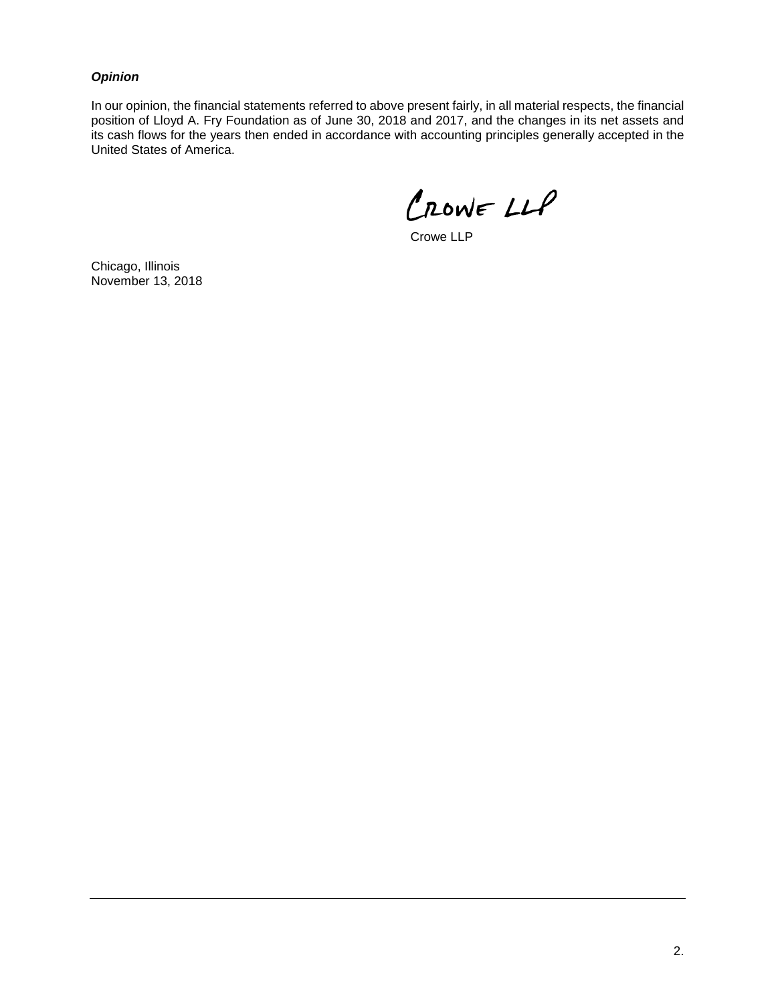### *Opinion*

In our opinion, the financial statements referred to above present fairly, in all material respects, the financial position of Lloyd A. Fry Foundation as of June 30, 2018 and 2017, and the changes in its net assets and its cash flows for the years then ended in accordance with accounting principles generally accepted in the United States of America.

CROWE LLP

Crowe LLP

Chicago, Illinois November 13, 2018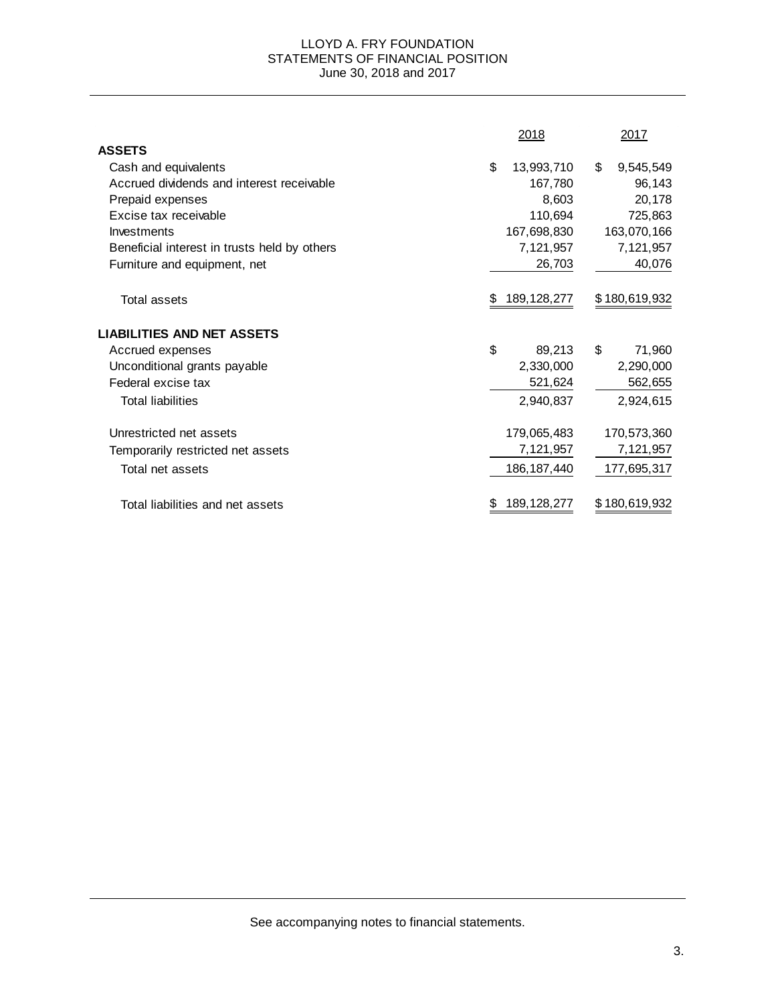#### LLOYD A. FRY FOUNDATION STATEMENTS OF FINANCIAL POSITION June 30, 2018 and 2017

|                                              | 2018               | 2017            |
|----------------------------------------------|--------------------|-----------------|
| <b>ASSETS</b>                                |                    |                 |
| Cash and equivalents                         | \$<br>13,993,710   | \$<br>9,545,549 |
| Accrued dividends and interest receivable    | 167,780            | 96,143          |
| Prepaid expenses                             | 8,603              | 20,178          |
| Excise tax receivable                        | 110,694            | 725,863         |
| Investments                                  | 167,698,830        | 163,070,166     |
| Beneficial interest in trusts held by others | 7,121,957          | 7,121,957       |
| Furniture and equipment, net                 | 26,703             | 40,076          |
| <b>Total assets</b>                          | 189, 128, 277<br>S | \$180,619,932   |
| <b>LIABILITIES AND NET ASSETS</b>            |                    |                 |
| Accrued expenses                             | \$<br>89.213       | \$<br>71,960    |
| Unconditional grants payable                 | 2,330,000          | 2,290,000       |
| Federal excise tax                           | 521,624            | 562,655         |
| <b>Total liabilities</b>                     | 2,940,837          | 2,924,615       |
| Unrestricted net assets                      | 179,065,483        | 170,573,360     |
| Temporarily restricted net assets            | 7,121,957          | 7,121,957       |
| Total net assets                             | 186, 187, 440      | 177,695,317     |
| Total liabilities and net assets             | 189, 128, 277      | \$180,619,932   |

See accompanying notes to financial statements.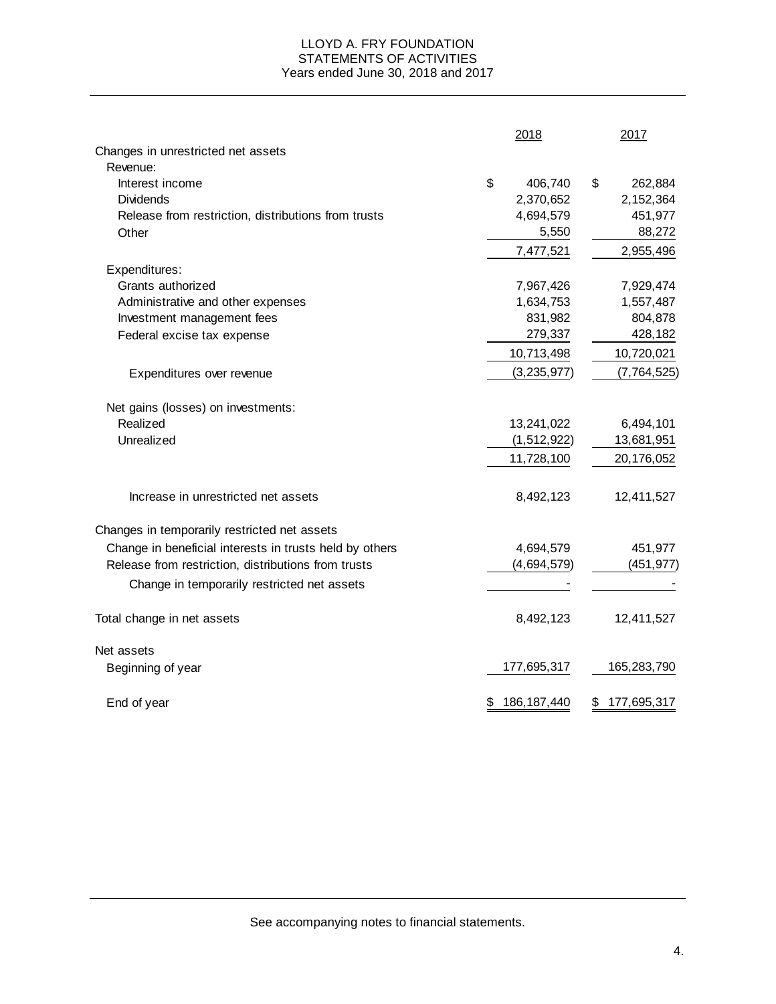#### LLOYD A. FRY FOUNDATION STATEMENTS OF ACTIVITIES Years ended June 30, 2018 and 2017

|                                                         | 2018                | 2017              |
|---------------------------------------------------------|---------------------|-------------------|
| Changes in unrestricted net assets                      |                     |                   |
| Revenue:                                                |                     |                   |
| Interest income                                         | \$<br>406,740       | \$<br>262,884     |
| <b>Dividends</b>                                        | 2,370,652           | 2,152,364         |
| Release from restriction, distributions from trusts     | 4,694,579           | 451,977           |
| Other                                                   | 5,550               | 88,272            |
|                                                         | 7,477,521           | 2,955,496         |
| Expenditures:                                           |                     |                   |
| Grants authorized                                       | 7,967,426           | 7,929,474         |
| Administrative and other expenses                       | 1,634,753           | 1,557,487         |
| Investment management fees                              | 831,982             | 804,878           |
| Federal excise tax expense                              | 279,337             | 428,182           |
|                                                         | 10,713,498          | 10,720,021        |
| Expenditures over revenue                               | (3, 235, 977)       | (7, 764, 525)     |
| Net gains (losses) on investments:                      |                     |                   |
| Realized                                                | 13,241,022          | 6,494,101         |
| Unrealized                                              | (1, 512, 922)       | 13,681,951        |
|                                                         | 11,728,100          | 20,176,052        |
| Increase in unrestricted net assets                     | 8,492,123           | 12,411,527        |
| Changes in temporarily restricted net assets            |                     |                   |
| Change in beneficial interests in trusts held by others | 4,694,579           | 451,977           |
| Release from restriction, distributions from trusts     | (4,694,579)         | (451, 977)        |
| Change in temporarily restricted net assets             |                     |                   |
| Total change in net assets                              | 8,492,123           | 12,411,527        |
| Net assets                                              |                     |                   |
| Beginning of year                                       | 177,695,317         | 165,283,790       |
| End of year                                             | \$<br>186, 187, 440 | \$<br>177,695,317 |

See accompanying notes to financial statements.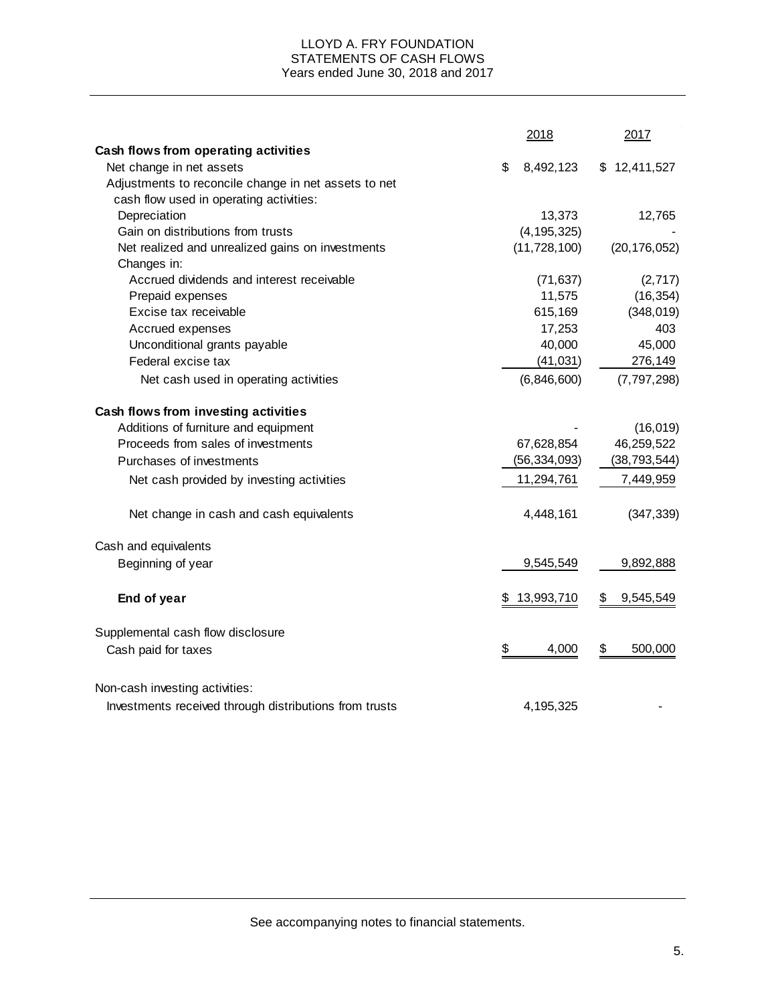#### LLOYD A. FRY FOUNDATION STATEMENTS OF CASH FLOWS Years ended June 30, 2018 and 2017

|                                                        | 2018            | 2017           |
|--------------------------------------------------------|-----------------|----------------|
| Cash flows from operating activities                   |                 |                |
| Net change in net assets                               | \$<br>8,492,123 | \$12,411,527   |
| Adjustments to reconcile change in net assets to net   |                 |                |
| cash flow used in operating activities:                |                 |                |
| Depreciation                                           | 13,373          | 12,765         |
| Gain on distributions from trusts                      | (4, 195, 325)   |                |
| Net realized and unrealized gains on investments       | (11, 728, 100)  | (20, 176, 052) |
| Changes in:                                            |                 |                |
| Accrued dividends and interest receivable              | (71, 637)       | (2,717)        |
| Prepaid expenses                                       | 11,575          | (16, 354)      |
| Excise tax receivable                                  | 615,169         | (348, 019)     |
| Accrued expenses                                       | 17,253          | 403            |
| Unconditional grants payable                           | 40,000          | 45,000         |
| Federal excise tax                                     | (41, 031)       | 276,149        |
| Net cash used in operating activities                  | (6,846,600)     | (7, 797, 298)  |
| Cash flows from investing activities                   |                 |                |
| Additions of furniture and equipment                   |                 | (16, 019)      |
| Proceeds from sales of investments                     | 67,628,854      | 46,259,522     |
| Purchases of investments                               | (56, 334, 093)  | (38, 793, 544) |
| Net cash provided by investing activities              | 11,294,761      | 7,449,959      |
| Net change in cash and cash equivalents                | 4,448,161       | (347, 339)     |
| Cash and equivalents                                   |                 |                |
| Beginning of year                                      | 9,545,549       | 9,892,888      |
| End of year                                            | 13,993,710      | 9,545,549      |
| Supplemental cash flow disclosure                      |                 |                |
| Cash paid for taxes                                    | 4,000<br>\$     | 500,000<br>S   |
| Non-cash investing activities:                         |                 |                |
| Investments received through distributions from trusts | 4,195,325       |                |

See accompanying notes to financial statements.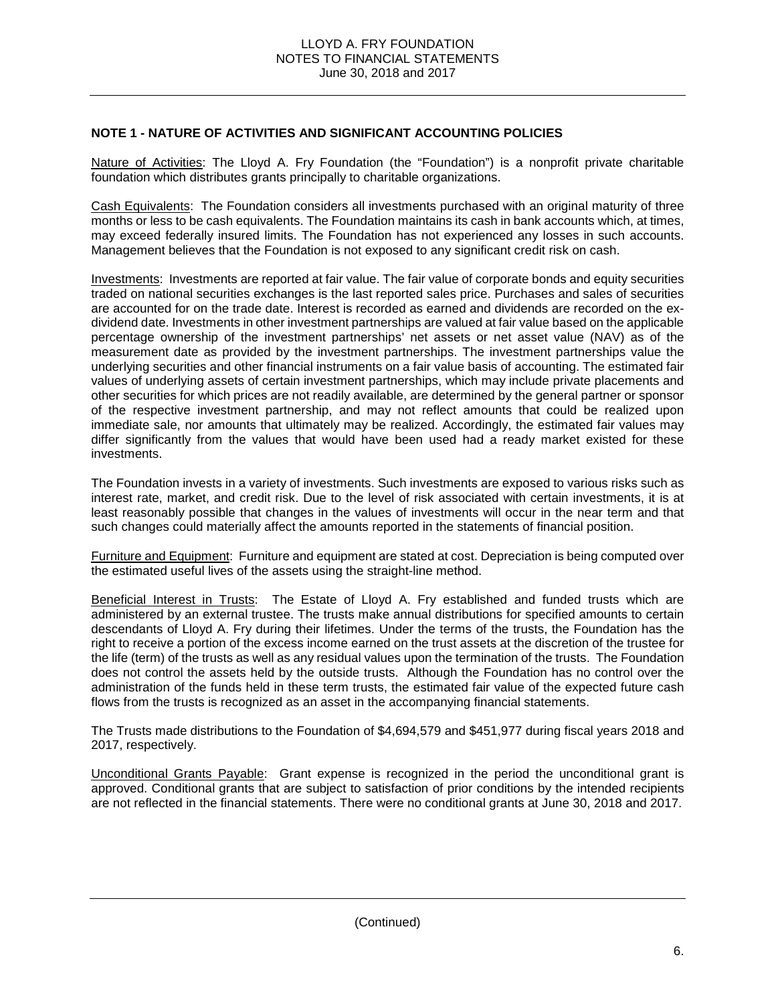# **NOTE 1 - NATURE OF ACTIVITIES AND SIGNIFICANT ACCOUNTING POLICIES**

Nature of Activities: The Lloyd A. Fry Foundation (the "Foundation") is a nonprofit private charitable foundation which distributes grants principally to charitable organizations.

Cash Equivalents: The Foundation considers all investments purchased with an original maturity of three months or less to be cash equivalents. The Foundation maintains its cash in bank accounts which, at times, may exceed federally insured limits. The Foundation has not experienced any losses in such accounts. Management believes that the Foundation is not exposed to any significant credit risk on cash.

Investments: Investments are reported at fair value. The fair value of corporate bonds and equity securities traded on national securities exchanges is the last reported sales price. Purchases and sales of securities are accounted for on the trade date. Interest is recorded as earned and dividends are recorded on the exdividend date. Investments in other investment partnerships are valued at fair value based on the applicable percentage ownership of the investment partnerships' net assets or net asset value (NAV) as of the measurement date as provided by the investment partnerships. The investment partnerships value the underlying securities and other financial instruments on a fair value basis of accounting. The estimated fair values of underlying assets of certain investment partnerships, which may include private placements and other securities for which prices are not readily available, are determined by the general partner or sponsor of the respective investment partnership, and may not reflect amounts that could be realized upon immediate sale, nor amounts that ultimately may be realized. Accordingly, the estimated fair values may differ significantly from the values that would have been used had a ready market existed for these investments.

The Foundation invests in a variety of investments. Such investments are exposed to various risks such as interest rate, market, and credit risk. Due to the level of risk associated with certain investments, it is at least reasonably possible that changes in the values of investments will occur in the near term and that such changes could materially affect the amounts reported in the statements of financial position.

Furniture and Equipment: Furniture and equipment are stated at cost. Depreciation is being computed over the estimated useful lives of the assets using the straight-line method.

Beneficial Interest in Trusts: The Estate of Lloyd A. Fry established and funded trusts which are administered by an external trustee. The trusts make annual distributions for specified amounts to certain descendants of Lloyd A. Fry during their lifetimes. Under the terms of the trusts, the Foundation has the right to receive a portion of the excess income earned on the trust assets at the discretion of the trustee for the life (term) of the trusts as well as any residual values upon the termination of the trusts. The Foundation does not control the assets held by the outside trusts. Although the Foundation has no control over the administration of the funds held in these term trusts, the estimated fair value of the expected future cash flows from the trusts is recognized as an asset in the accompanying financial statements.

The Trusts made distributions to the Foundation of \$4,694,579 and \$451,977 during fiscal years 2018 and 2017, respectively.

Unconditional Grants Payable: Grant expense is recognized in the period the unconditional grant is approved. Conditional grants that are subject to satisfaction of prior conditions by the intended recipients are not reflected in the financial statements. There were no conditional grants at June 30, 2018 and 2017.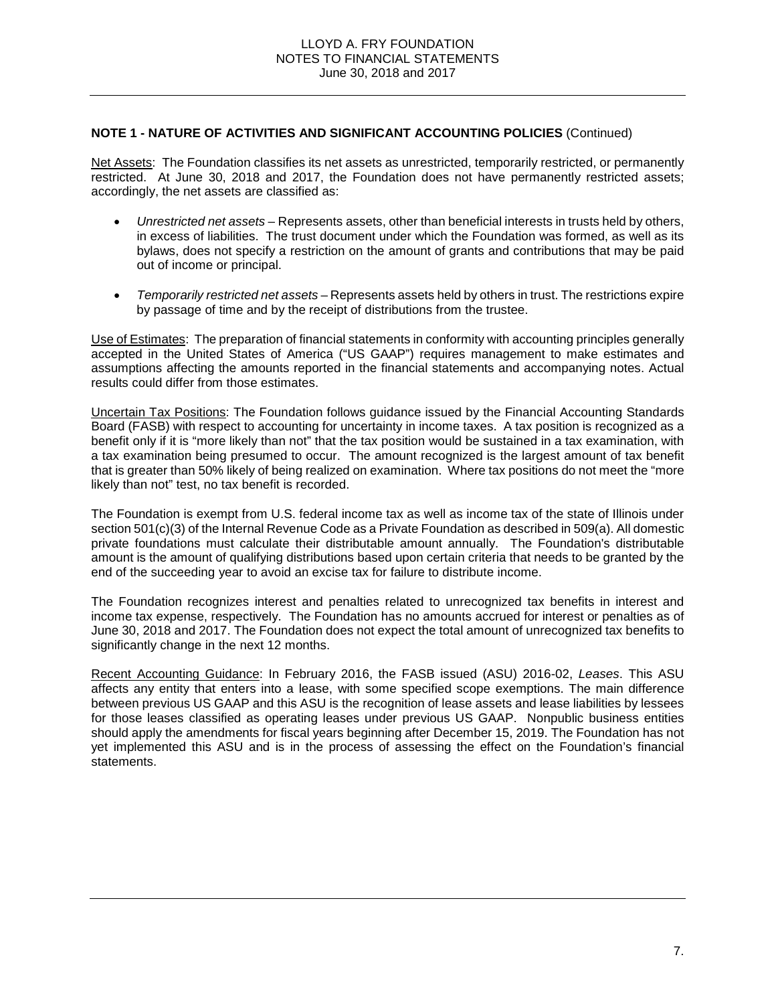#### **NOTE 1 - NATURE OF ACTIVITIES AND SIGNIFICANT ACCOUNTING POLICIES** (Continued)

Net Assets: The Foundation classifies its net assets as unrestricted, temporarily restricted, or permanently restricted. At June 30, 2018 and 2017, the Foundation does not have permanently restricted assets; accordingly, the net assets are classified as:

- *Unrestricted net assets* Represents assets, other than beneficial interests in trusts held by others, in excess of liabilities. The trust document under which the Foundation was formed, as well as its bylaws, does not specify a restriction on the amount of grants and contributions that may be paid out of income or principal.
- *Temporarily restricted net assets*  Represents assets held by others in trust. The restrictions expire by passage of time and by the receipt of distributions from the trustee.

Use of Estimates: The preparation of financial statements in conformity with accounting principles generally accepted in the United States of America ("US GAAP") requires management to make estimates and assumptions affecting the amounts reported in the financial statements and accompanying notes. Actual results could differ from those estimates.

Uncertain Tax Positions: The Foundation follows guidance issued by the Financial Accounting Standards Board (FASB) with respect to accounting for uncertainty in income taxes. A tax position is recognized as a benefit only if it is "more likely than not" that the tax position would be sustained in a tax examination, with a tax examination being presumed to occur. The amount recognized is the largest amount of tax benefit that is greater than 50% likely of being realized on examination. Where tax positions do not meet the "more likely than not" test, no tax benefit is recorded.

The Foundation is exempt from U.S. federal income tax as well as income tax of the state of Illinois under section 501(c)(3) of the Internal Revenue Code as a Private Foundation as described in 509(a). All domestic private foundations must calculate their distributable amount annually. The Foundation's distributable amount is the amount of qualifying distributions based upon certain criteria that needs to be granted by the end of the succeeding year to avoid an excise tax for failure to distribute income.

The Foundation recognizes interest and penalties related to unrecognized tax benefits in interest and income tax expense, respectively. The Foundation has no amounts accrued for interest or penalties as of June 30, 2018 and 2017. The Foundation does not expect the total amount of unrecognized tax benefits to significantly change in the next 12 months.

Recent Accounting Guidance: In February 2016, the FASB issued (ASU) 2016-02, *Leases*. This ASU affects any entity that enters into a lease, with some specified scope exemptions. The main difference between previous US GAAP and this ASU is the recognition of lease assets and lease liabilities by lessees for those leases classified as operating leases under previous US GAAP. Nonpublic business entities should apply the amendments for fiscal years beginning after December 15, 2019. The Foundation has not yet implemented this ASU and is in the process of assessing the effect on the Foundation's financial statements.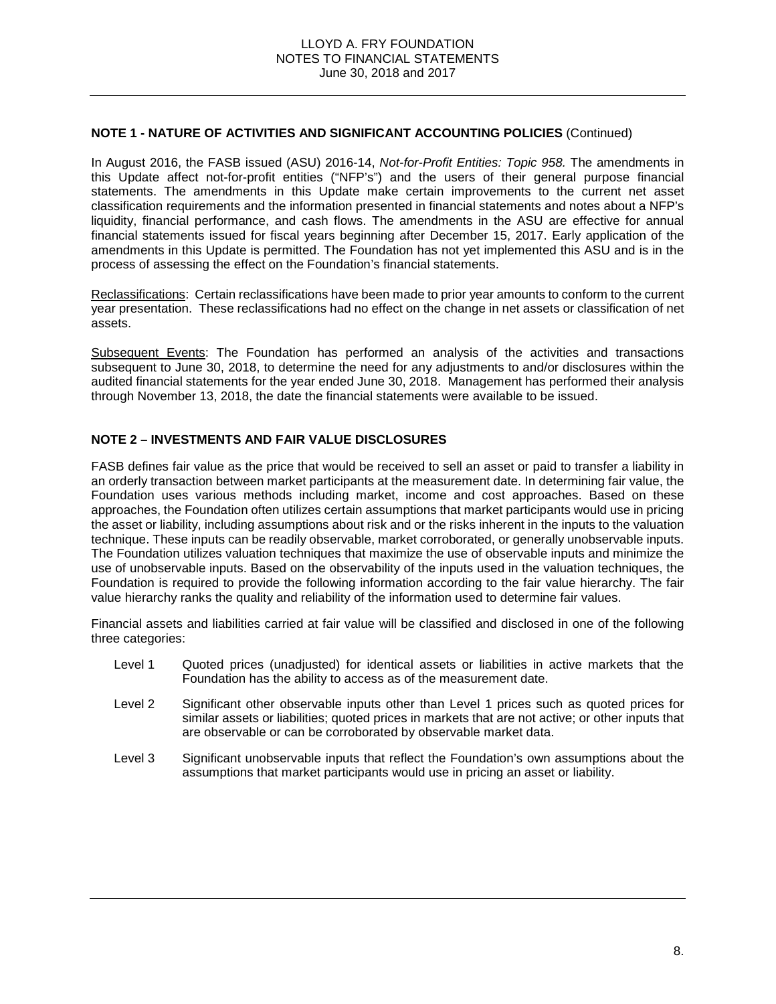#### **NOTE 1 - NATURE OF ACTIVITIES AND SIGNIFICANT ACCOUNTING POLICIES** (Continued)

In August 2016, the FASB issued (ASU) 2016-14, *Not-for-Profit Entities: Topic 958.* The amendments in this Update affect not-for-profit entities ("NFP's") and the users of their general purpose financial statements. The amendments in this Update make certain improvements to the current net asset classification requirements and the information presented in financial statements and notes about a NFP's liquidity, financial performance, and cash flows. The amendments in the ASU are effective for annual financial statements issued for fiscal years beginning after December 15, 2017. Early application of the amendments in this Update is permitted. The Foundation has not yet implemented this ASU and is in the process of assessing the effect on the Foundation's financial statements.

Reclassifications: Certain reclassifications have been made to prior year amounts to conform to the current year presentation. These reclassifications had no effect on the change in net assets or classification of net assets.

Subsequent Events: The Foundation has performed an analysis of the activities and transactions subsequent to June 30, 2018, to determine the need for any adjustments to and/or disclosures within the audited financial statements for the year ended June 30, 2018. Management has performed their analysis through November 13, 2018, the date the financial statements were available to be issued.

# **NOTE 2 – INVESTMENTS AND FAIR VALUE DISCLOSURES**

FASB defines fair value as the price that would be received to sell an asset or paid to transfer a liability in an orderly transaction between market participants at the measurement date. In determining fair value, the Foundation uses various methods including market, income and cost approaches. Based on these approaches, the Foundation often utilizes certain assumptions that market participants would use in pricing the asset or liability, including assumptions about risk and or the risks inherent in the inputs to the valuation technique. These inputs can be readily observable, market corroborated, or generally unobservable inputs. The Foundation utilizes valuation techniques that maximize the use of observable inputs and minimize the use of unobservable inputs. Based on the observability of the inputs used in the valuation techniques, the Foundation is required to provide the following information according to the fair value hierarchy. The fair value hierarchy ranks the quality and reliability of the information used to determine fair values.

Financial assets and liabilities carried at fair value will be classified and disclosed in one of the following three categories:

- Level 1 Quoted prices (unadjusted) for identical assets or liabilities in active markets that the Foundation has the ability to access as of the measurement date.
- Level 2 Significant other observable inputs other than Level 1 prices such as quoted prices for similar assets or liabilities; quoted prices in markets that are not active; or other inputs that are observable or can be corroborated by observable market data.
- Level 3 Significant unobservable inputs that reflect the Foundation's own assumptions about the assumptions that market participants would use in pricing an asset or liability.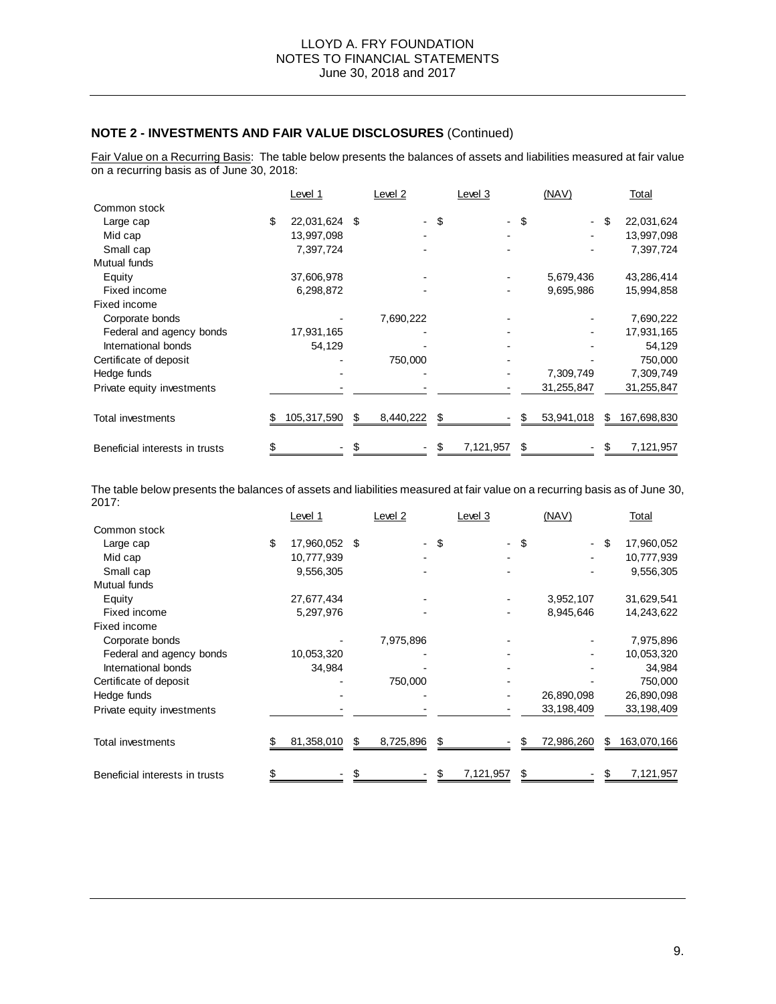Fair Value on a Recurring Basis: The table below presents the balances of assets and liabilities measured at fair value on a recurring basis as of June 30, 2018:

|                                |    | Level 1       | Level 2         |      | Level 3        |    | (NAV)                    |   | Total       |
|--------------------------------|----|---------------|-----------------|------|----------------|----|--------------------------|---|-------------|
| Common stock                   |    |               |                 |      |                |    |                          |   |             |
| Large cap                      | \$ | 22,031,624 \$ |                 | - \$ | $\overline{a}$ | \$ | $\overline{\phantom{a}}$ | S | 22,031,624  |
| Mid cap                        |    | 13,997,098    |                 |      |                |    |                          |   | 13,997,098  |
| Small cap                      |    | 7,397,724     |                 |      |                |    |                          |   | 7,397,724   |
| Mutual funds                   |    |               |                 |      |                |    |                          |   |             |
| Equity                         |    | 37,606,978    |                 |      |                |    | 5,679,436                |   | 43,286,414  |
| Fixed income                   |    | 6,298,872     |                 |      |                |    | 9,695,986                |   | 15,994,858  |
| Fixed income                   |    |               |                 |      |                |    |                          |   |             |
| Corporate bonds                |    |               | 7,690,222       |      |                |    |                          |   | 7,690,222   |
| Federal and agency bonds       |    | 17,931,165    |                 |      |                |    |                          |   | 17,931,165  |
| International bonds            |    | 54,129        |                 |      |                |    |                          |   | 54,129      |
| Certificate of deposit         |    |               | 750,000         |      |                |    |                          |   | 750,000     |
| Hedge funds                    |    |               |                 |      |                |    | 7,309,749                |   | 7,309,749   |
| Private equity investments     |    |               |                 |      |                |    | 31,255,847               |   | 31,255,847  |
| Total investments              | S. | 105,317,590   | \$<br>8,440,222 | \$   |                | S  | 53,941,018               | S | 167,698,830 |
| Beneficial interests in trusts |    |               |                 |      | 7,121,957      |    |                          |   | 7,121,957   |

The table below presents the balances of assets and liabilities measured at fair value on a recurring basis as of June 30, 2017:

|                                | Level 1             |    | Level <sub>2</sub> | Level 3                        |    | (NAV)        |    | Total        |
|--------------------------------|---------------------|----|--------------------|--------------------------------|----|--------------|----|--------------|
| Common stock                   |                     |    |                    |                                |    |              |    |              |
| Large cap                      | \$<br>17,960,052 \$ |    |                    | \$<br>$\overline{\phantom{0}}$ | \$ |              | \$ | 17,960,052   |
| Mid cap                        | 10,777,939          |    |                    |                                |    |              |    | 10,777,939   |
| Small cap                      | 9,556,305           |    |                    |                                |    |              |    | 9,556,305    |
| Mutual funds                   |                     |    |                    |                                |    |              |    |              |
| Equity                         | 27,677,434          |    |                    |                                |    | 3,952,107    |    | 31,629,541   |
| Fixed income                   | 5,297,976           |    |                    |                                |    | 8,945,646    |    | 14,243,622   |
| Fixed income                   |                     |    |                    |                                |    |              |    |              |
| Corporate bonds                |                     |    | 7,975,896          |                                |    |              |    | 7,975,896    |
| Federal and agency bonds       | 10,053,320          |    |                    |                                |    |              |    | 10,053,320   |
| International bonds            | 34,984              |    |                    |                                |    |              |    | 34,984       |
| Certificate of deposit         |                     |    | 750,000            |                                |    |              |    | 750,000      |
| Hedge funds                    |                     |    |                    |                                |    | 26,890,098   |    | 26,890,098   |
| Private equity investments     |                     |    |                    |                                |    | 33, 198, 409 |    | 33, 198, 409 |
| Total investments              | 81,358,010          | S. | 8,725,896          | \$                             | S  | 72,986,260   | S  | 163,070,166  |
| Beneficial interests in trusts |                     |    |                    | 7,121,957                      | S  |              |    | 7,121,957    |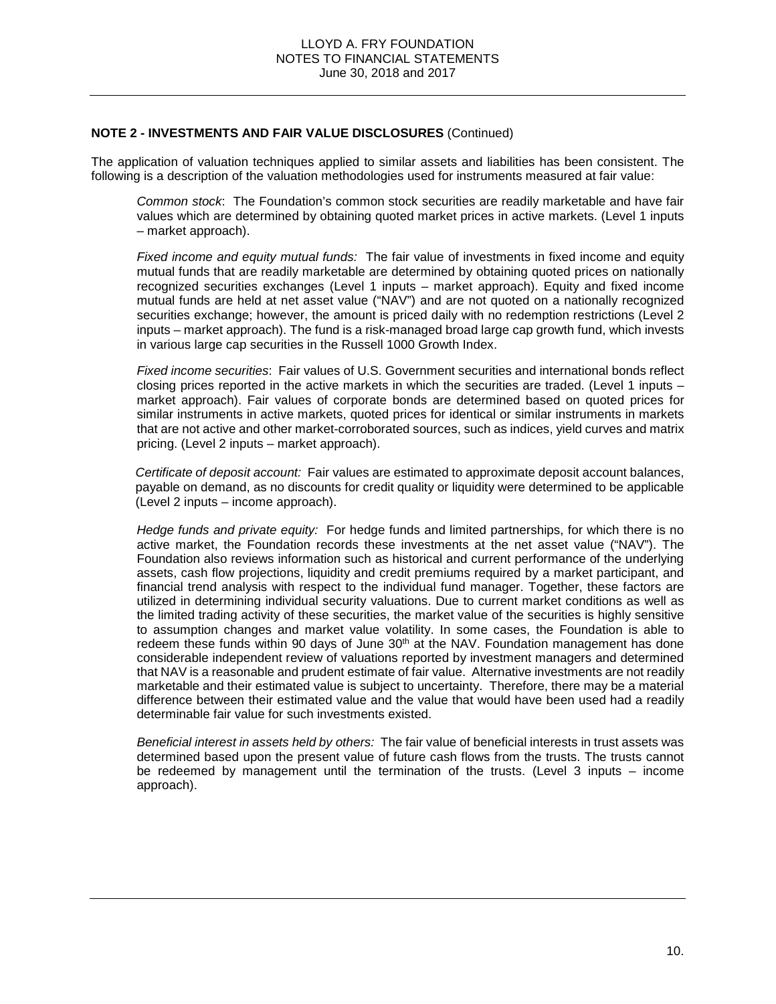The application of valuation techniques applied to similar assets and liabilities has been consistent. The following is a description of the valuation methodologies used for instruments measured at fair value:

*Common stock*: The Foundation's common stock securities are readily marketable and have fair values which are determined by obtaining quoted market prices in active markets. (Level 1 inputs – market approach).

*Fixed income and equity mutual funds:* The fair value of investments in fixed income and equity mutual funds that are readily marketable are determined by obtaining quoted prices on nationally recognized securities exchanges (Level 1 inputs – market approach). Equity and fixed income mutual funds are held at net asset value ("NAV") and are not quoted on a nationally recognized securities exchange; however, the amount is priced daily with no redemption restrictions (Level 2 inputs – market approach). The fund is a risk-managed broad large cap growth fund, which invests in various large cap securities in the Russell 1000 Growth Index.

*Fixed income securities*: Fair values of U.S. Government securities and international bonds reflect closing prices reported in the active markets in which the securities are traded. (Level 1 inputs – market approach). Fair values of corporate bonds are determined based on quoted prices for similar instruments in active markets, quoted prices for identical or similar instruments in markets that are not active and other market-corroborated sources, such as indices, yield curves and matrix pricing. (Level 2 inputs – market approach).

*Certificate of deposit account:* Fair values are estimated to approximate deposit account balances, payable on demand, as no discounts for credit quality or liquidity were determined to be applicable (Level 2 inputs – income approach).

*Hedge funds and private equity:* For hedge funds and limited partnerships, for which there is no active market, the Foundation records these investments at the net asset value ("NAV"). The Foundation also reviews information such as historical and current performance of the underlying assets, cash flow projections, liquidity and credit premiums required by a market participant, and financial trend analysis with respect to the individual fund manager. Together, these factors are utilized in determining individual security valuations. Due to current market conditions as well as the limited trading activity of these securities, the market value of the securities is highly sensitive to assumption changes and market value volatility. In some cases, the Foundation is able to redeem these funds within 90 days of June 30<sup>th</sup> at the NAV. Foundation management has done considerable independent review of valuations reported by investment managers and determined that NAV is a reasonable and prudent estimate of fair value. Alternative investments are not readily marketable and their estimated value is subject to uncertainty. Therefore, there may be a material difference between their estimated value and the value that would have been used had a readily determinable fair value for such investments existed.

*Beneficial interest in assets held by others:* The fair value of beneficial interests in trust assets was determined based upon the present value of future cash flows from the trusts. The trusts cannot be redeemed by management until the termination of the trusts. (Level 3 inputs – income approach).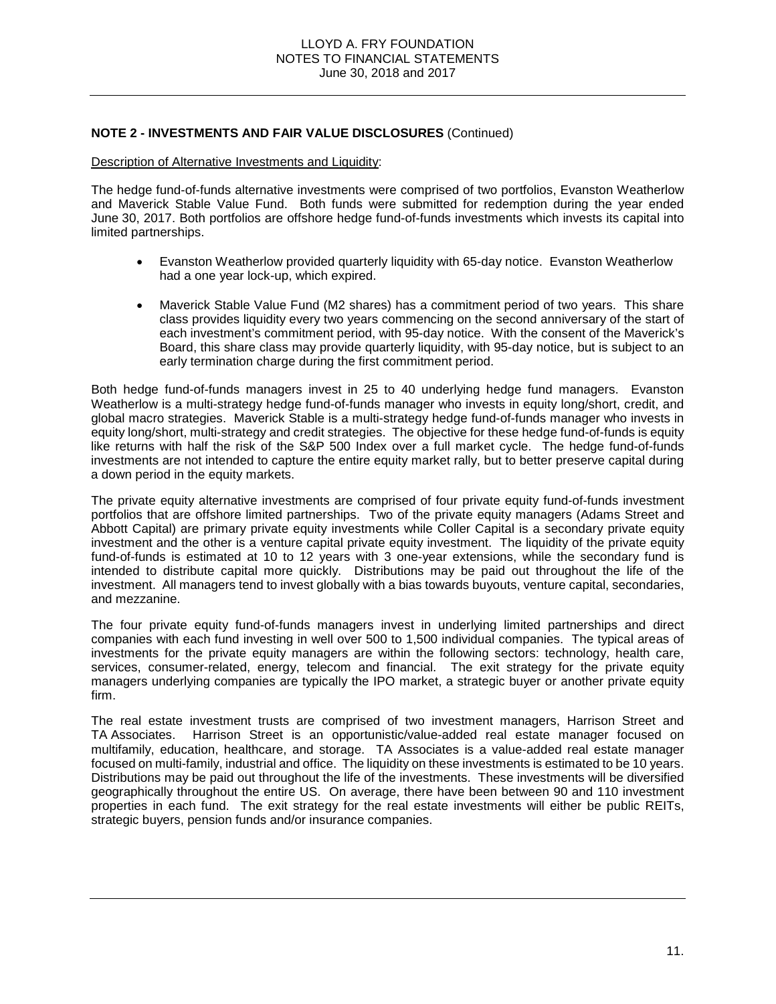#### Description of Alternative Investments and Liquidity:

The hedge fund-of-funds alternative investments were comprised of two portfolios, Evanston Weatherlow and Maverick Stable Value Fund. Both funds were submitted for redemption during the year ended June 30, 2017. Both portfolios are offshore hedge fund-of-funds investments which invests its capital into limited partnerships.

- Evanston Weatherlow provided quarterly liquidity with 65-day notice. Evanston Weatherlow had a one year lock-up, which expired.
- Maverick Stable Value Fund (M2 shares) has a commitment period of two years. This share class provides liquidity every two years commencing on the second anniversary of the start of each investment's commitment period, with 95-day notice. With the consent of the Maverick's Board, this share class may provide quarterly liquidity, with 95-day notice, but is subject to an early termination charge during the first commitment period.

Both hedge fund-of-funds managers invest in 25 to 40 underlying hedge fund managers. Evanston Weatherlow is a multi-strategy hedge fund-of-funds manager who invests in equity long/short, credit, and global macro strategies. Maverick Stable is a multi-strategy hedge fund-of-funds manager who invests in equity long/short, multi-strategy and credit strategies. The objective for these hedge fund-of-funds is equity like returns with half the risk of the S&P 500 Index over a full market cycle. The hedge fund-of-funds investments are not intended to capture the entire equity market rally, but to better preserve capital during a down period in the equity markets.

The private equity alternative investments are comprised of four private equity fund-of-funds investment portfolios that are offshore limited partnerships. Two of the private equity managers (Adams Street and Abbott Capital) are primary private equity investments while Coller Capital is a secondary private equity investment and the other is a venture capital private equity investment. The liquidity of the private equity fund-of-funds is estimated at 10 to 12 years with 3 one-year extensions, while the secondary fund is intended to distribute capital more quickly. Distributions may be paid out throughout the life of the investment. All managers tend to invest globally with a bias towards buyouts, venture capital, secondaries, and mezzanine.

The four private equity fund-of-funds managers invest in underlying limited partnerships and direct companies with each fund investing in well over 500 to 1,500 individual companies. The typical areas of investments for the private equity managers are within the following sectors: technology, health care, services, consumer-related, energy, telecom and financial. The exit strategy for the private equity managers underlying companies are typically the IPO market, a strategic buyer or another private equity firm.

The real estate investment trusts are comprised of two investment managers, Harrison Street and TA Associates. Harrison Street is an opportunistic/value-added real estate manager focused on multifamily, education, healthcare, and storage. TA Associates is a value-added real estate manager focused on multi-family, industrial and office. The liquidity on these investments is estimated to be 10 years. Distributions may be paid out throughout the life of the investments. These investments will be diversified geographically throughout the entire US. On average, there have been between 90 and 110 investment properties in each fund. The exit strategy for the real estate investments will either be public REITs, strategic buyers, pension funds and/or insurance companies.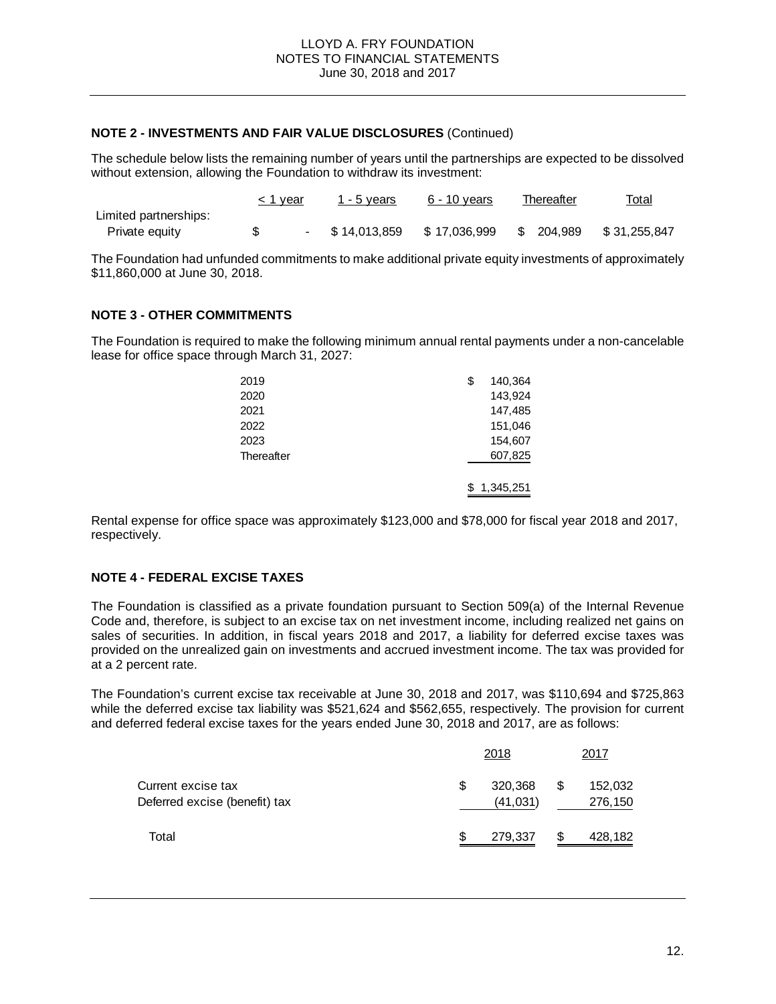The schedule below lists the remaining number of years until the partnerships are expected to be dissolved without extension, allowing the Foundation to withdraw its investment:

|                       | <u>&lt; 1 year</u> | 1 - 5 vears       | 6 - 10 vears | Thereafter | <u>Total</u> |
|-----------------------|--------------------|-------------------|--------------|------------|--------------|
| Limited partnerships: |                    |                   |              |            |              |
| Private equity        |                    | $-$ \$ 14.013.859 | \$17.036.999 | \$ 204.989 | \$31.255.847 |

The Foundation had unfunded commitments to make additional private equity investments of approximately \$11,860,000 at June 30, 2018.

#### **NOTE 3 - OTHER COMMITMENTS**

The Foundation is required to make the following minimum annual rental payments under a non-cancelable lease for office space through March 31, 2027:

| 2019       | \$<br>140,364 |
|------------|---------------|
| 2020       | 143,924       |
| 2021       | 147,485       |
| 2022       | 151,046       |
| 2023       | 154,607       |
| Thereafter | 607,825       |
|            |               |
|            | \$1,345,251   |

Rental expense for office space was approximately \$123,000 and \$78,000 for fiscal year 2018 and 2017, respectively.

# **NOTE 4 - FEDERAL EXCISE TAXES**

The Foundation is classified as a private foundation pursuant to Section 509(a) of the Internal Revenue Code and, therefore, is subject to an excise tax on net investment income, including realized net gains on sales of securities. In addition, in fiscal years 2018 and 2017, a liability for deferred excise taxes was provided on the unrealized gain on investments and accrued investment income. The tax was provided for at a 2 percent rate.

The Foundation's current excise tax receivable at June 30, 2018 and 2017, was \$110,694 and \$725,863 while the deferred excise tax liability was \$521,624 and \$562,655, respectively. The provision for current and deferred federal excise taxes for the years ended June 30, 2018 and 2017, are as follows:

|                                                     |   | 2018                |   | 2017               |
|-----------------------------------------------------|---|---------------------|---|--------------------|
| Current excise tax<br>Deferred excise (benefit) tax | S | 320,368<br>(41,031) | S | 152,032<br>276,150 |
| Total                                               | S | 279,337             | S | 428,182            |